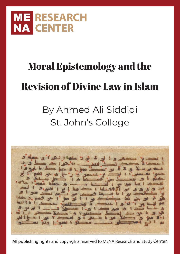

# Moral Epistemology and the Revision of Divine Law in Islam

# By Ahmed Ali Siddiqi St. John's College

All publishing rights and copyrights reserved to MENA Research and Study Center.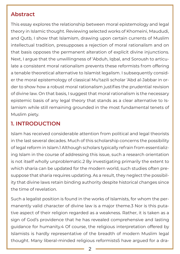### **Abstract**

This essay explores the relationship between moral epistemology and legal theory in Islamic thought. Reviewing selected works of Khomeini, Maududi, and Qutb, I show that Islamism, drawing upon certain currents of Muslim intellectual tradition, presupposes a rejection of moral rationalism and on that basis opposes the permanent alteration of explicit divine injunctions. Next, I argue that the unwillingness of 'Abduh, Iqbal, and Soroush to articulate a consistent moral rationalism prevents these reformists from offering a tenable theoretical alternative to Islamist legalism. I subsequently consider the moral epistemology of classical Mu'tazili scholar 'Abd al-Jabbar in order to show how a robust moral rationalism justifies the prudential revision of divine law. On that basis, I suggest that moral rationalism is the necessary epistemic basis of any legal theory that stands as a clear alternative to Islamism while still remaining grounded in the most fundamental tenets of Muslim piety.

# **1. INTRODUCTION**

Islam has received considerable attention from political and legal theorists in the last several decades. Much of this scholarship concerns the possibility of legal reform in Islam.1 Although scholars typically refrain from essentializing Islam in the course of addressing this issue, such a research orientation is not itself wholly unproblematic.2 By investigating primarily the extent to which sharia can be updated for the modern world, such studies often presuppose that sharia requires updating. As a result, they neglect the possibility that divine laws retain binding authority despite historical changes since the time of revelation.

Such a legalist position is found in the works of Islamists, for whom the permanently valid character of divine law is a major theme.3 Nor is this putative aspect of their religion regarded as a weakness. Rather, it is taken as a sign of God's providence that he has revealed comprehensive and lasting guidance for humanity.4 Of course, the religious interpretation offered by Islamists is hardly representative of the breadth of modern Muslim legal thought. Many liberal-minded religious reformists5 have argued for a dra-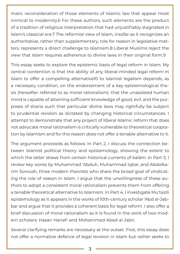matic reconsideration of those elements of Islamic law that appear most inimical to modernity.6 For these authors, such elements are the product of a tradition of religious interpretation that had unjustifiably stagnated in Islam's classical era.7 The reformist view of Islam, insofar as it recognizes an authoritative, rather than supplementary, role for reason in legislative matters, represents a direct challenge to Islamism.8 Liberal Muslims reject the view that Islam requires adherence to divine laws in their original form.9

This essay seeks to explore the epistemic basis of legal reform in Islam. My central contention is that the ability of any liberal-minded legal reform in Islam to offer a compelling alternative10 to Islamist legalism depends, as a necessary condition, on the endorsement of a key epistemological thesis (hereafter referred to as moral rationalism): that the unassisted human mind is capable of attaining sufficient knowledge of good, evil, and the purposes of sharia such that particular divine laws may rightfully be subject to prudential revision as dictated by changing historical circumstances. I attempt to demonstrate that any project of liberal Islamic reform that does not advocate moral rationalism is critically vulnerable to theoretical cooptation by Islamism and for this reason does not offer a tenable alternative to it.

The argument proceeds as follows: In Part 2, I discuss the connection between Islamist political theory and epistemology, showing the extent to which the latter draws from certain historical currents of kalām. In Part 3, I review key works by Muhammad 'Abduh, Muhammad Iqbal, and Abdolkarim Soroush, three modern theorists who share the broad goal of vindicating the role of reason in Islam. I argue that the unwillingness of these authors to adopt a consistent moral rationalism prevents them from offering a tenable theoretical alternative to Islamism. In Part 4, I investigate Mu'tazili epistemology as it appears in the works of 10th-century scholar 'Abd al-Jabbar and argue that it provides a coherent basis for legal reform. I also offer a brief discussion of moral rationalism as it is found in the work of two modern scholars: Hasan Hanafi and Mohammed Abed al-Jabri.

Several clarifying remarks are necessary at the outset. First, this essay does not offer a normative defence of legal revision in Islam but rather seeks to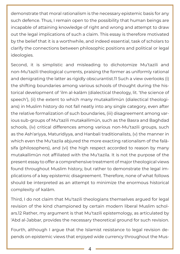demonstrate that moral rationalism is the necessary epistemic basis for any such defence. Thus, I remain open to the possibility that human beings are incapable of attaining knowledge of right and wrong and attempt to draw out the legal implications of such a claim. This essay is therefore motivated by the belief that it is a worthwhile, and indeed essential, task of scholars to clarify the connections between philosophic positions and political or legal ideologies.

Second, it is simplistic and misleading to dichotomize Mu'tazili and non-Mu'tazili theological currents, praising the former as uniformly rational and denigrating the latter as rigidly obscurantist.11 Such a view overlooks (i) the shifting boundaries among various schools of thought during the historical development of 'ilm al-kalām (dialectical theology, lit. 'the science of speech'), (ii) the extent to which many mutakallimūn (dialectical theologians) in Muslim history do not fall neatly into any single category, even after the relative formalization of such boundaries, (iii) disagreement among various sub-groups of Mu'tazili mutakallimūn, such as the Basra and Baghdad schools, (iv) critical differences among various non-Mu'tazili groups, such as the Ash'ariyya, Maturidiyya, and Hanbali traditionalists, (v) the manner in which even the Mu'tazila abjured the more exacting rationalism of the falāsifa (philosophers), and (vi) the high respect accorded to reason by many mutakallimūn not affiliated with the Mu'tazila. It is not the purpose of the present essay to offer a comprehensive treatment of major theological views found throughout Muslim history, but rather to demonstrate the legal implications of a key epistemic disagreement. Therefore, none of what follows should be interpreted as an attempt to minimize the enormous historical complexity of kalām.

Third, I do not claim that Mu'tazili theologians themselves argued for legal revision of the kind championed by certain modern liberal Muslim scholars.12 Rather, my argument is that Mu'tazili epistemology, as articulated by 'Abd al-Jabbar, provides the necessary theoretical ground for such revision.

Fourth, although I argue that the Islamist resistance to legal revision depends on epistemic views that enjoyed wide currency throughout the Mus-

4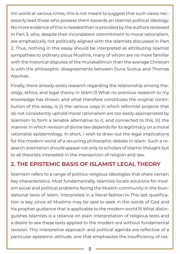lim world at various times, this is not meant to suggest that such views necessarily lead those who possess them towards an Islamist political ideology. No more evidence of this is needed than is provided by the authors reviewed in Part 3, who, despite their inconsistent commitment to moral rationalism, are emphatically not politically aligned with the Islamists discussed in Part 2. Thus, nothing in this essay should be interpreted as attributing Islamist sympathies to ordinary pious Muslims, many of whom are no more familiar with the historical disputes of the mutakallimūn than the average Christian is with the philosophic disagreements between Duns Scotus and Thomas Aquinas.

Finally, there already exists research regarding the relationship among theology, ethics, and legal theory in Islam.13 What no previous research to my knowledge has shown, and what therefore constitutes the original contribution of this essay, is (i) the various ways in which reformist projects that do not consistently uphold moral rationalism are too easily appropriated by Islamism to form a tenable alternative to it, and connected to this, (ii) the manner in which revision of divine law depends for its legitimacy on a moral rationalist epistemology. In short, I wish to draw out the legal implications for the modern world of a recurring philosophic debate in Islam. Such a research orientation should appeal not only to scholars of Islamic thought but to all theorists interested in the intersection of religion and law.

# **2. THE EPISTEMIC BASIS OF ISLAMIST LEGAL THEORY**

Islamism refers to a range of politico-religious ideologies that share certain key characteristics. Most fundamentally, Islamists locate solutions for modern social and political problems facing the Muslim community in the foundational texts of Islam, interpreted in a literal fashion.14 This last qualification is key, since all Muslims may be said to seek in the words of God and his prophet guidance that is applicable to the modern world.15 What distinguishes Islamists is a reliance on plain interpretation of religious texts and a desire to see these texts applied to the modern era without fundamental revision. This interpretive approach and political agenda are reflective of a particular epistemic attitude, one that emphasizes the insufficiency of rea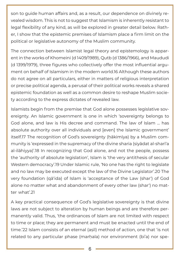son to guide human affairs and, as a result, our dependence on divinely revealed wisdom. This is not to suggest that Islamism is inherently resistant to legal flexibility of any kind, as will be explored in greater detail below. Rather, I show that the epistemic premises of Islamism place a firm limit on the political or legislative autonomy of the Muslim community.

The connection between Islamist legal theory and epistemology is apparent in the works of Khomeini (d 1409/1989), Qutb (d 1386/1966), and Maududi (d 1399/1979), three figures who collectively offer the most influential argument on behalf of Islamism in the modern world.16 Although these authors do not agree on all particulars, either in matters of religious interpretation or precise political agenda, a perusal of their political works reveals a shared epistemic foundation as well as a common desire to reshape Muslim society according to the express dictates of revealed law.

Islamists begin from the premise that God alone possesses legislative sovereignty. An Islamic government is one in which 'sovereignty belongs to God alone, and law is His decree and command. The law of Islam … has absolute authority over all individuals and [even] the Islamic government' itself.17 The recognition of God's sovereignty (ḥākimīya) by a Muslim community is 'expressed in the supremacy of the divine sharia (siyādat al-sharī'a al-ilāhiyya)'.18 In recognizing that God alone, and not the people, possess the 'authority of absolute legislation', Islam is 'the very antithesis of secular Western democracy'.19 Under Islamic rule, 'No one has the right to legislate and no law may be executed except the law of the Divine Legislator'.20 The very foundation (qā'ida) of Islam is 'acceptance of the Law (shar') of God alone no matter what and abandonment of every other law (shar') no matter what'.21

A key practical consequence of God's legislative sovereignty is that divine laws are not subject to alteration by human beings and are therefore permanently valid. Thus, 'the ordinances of Islam are not limited with respect to time or place; they are permanent and must be enacted until the end of time.'22 Islam consists of an eternal (aṣīl) method of action, one that 'is not related to any particular phase (marhala) nor environment (bi'a) nor spe-

6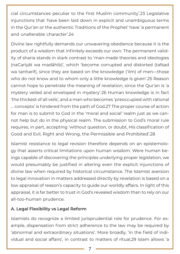cial circumstances peculiar to the first Muslim community'.23 Legislative injunctions that 'have been laid down in explicit and unambiguous terms in the Qur'an or the authentic Traditions of the Prophet' have 'a permanent and unalterable character'.24

Divine law rightfully demands our unwavering obedience because it is the product of a wisdom that infinitely exceeds our own. The permanent validity of sharia stands in stark contrast to 'man-made theories and ideologies (naCarīyāt wa madāhib)', which 'become corrupted and distorted (tafsad wa tanharif), since they are based on the knowledge ('ilm) of men—those who do not know and to whom only a little knowledge is given'.25 Reason cannot hope to penetrate the meaning of revelation, since the Qur'an is 'a mystery veiled and enveloped in mystery'.26 Human knowledge is in fact 'the thickest of all veils', and a man who becomes 'preoccupied with rational … concepts' is hindered from the path of God.27 The proper course of action for man is to submit to God in the 'moral and social' realm just as we cannot help but do in the physical realm. The submission to God's moral rule requires, in part, accepting 'without question, or doubt, His classification of Good and Evil, Right and Wrong, the Permissible and Prohibited'.28

Islamist resistance to legal revision therefore depends on an epistemology that asserts critical limitations upon human wisdom. Were human beings capable of discovering the principles underlying proper legislation, we would presumably be justified in altering even the explicit injunctions of divine law when required by historical circumstance. The Islamist aversion to legal innovation in matters addressed directly by revelation is based on a low appraisal of reason's capacity to guide our worldly affairs. In light of this appraisal, it is far better to trust in God's revealed wisdom than to rely on our all-too-human prudence.

#### **A. Legal Flexibility vs Legal Reform**

Islamists do recognize a limited jurisprudential role for prudence. For example, dispensation from strict adherence to the law may be required by 'abnormal and extraordinary situations'. More broadly, 'in the field of individual and social affairs', in contrast to matters of ritual,29 Islam allows 'a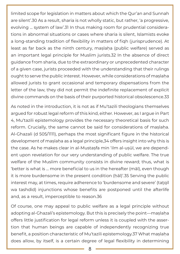limited scope for legislation in matters about which the Qur'an and Sunnah are silent'.30 As a result, sharia is not wholly static, but rather, 'a progressive, evolving … system of law'.31 In thus making room for prudential considerations in abnormal situations or cases where sharia is silent, Islamists evoke a long-standing tradition of flexibility in matters of fiqh (jurisprudence). At least as far back as the ninth century, maslaha (public welfare) served as an important legal principle for Muslim jurists.32 In the absence of direct guidance from sharia, due to the extraordinary or unprecedented character of a given case, jurists proceeded with the understanding that their rulings ought to serve the public interest. However, while considerations of maṣlaḥa allowed jurists to grant occasional and temporary dispensations from the letter of the law, they did not permit the indefinite replacement of explicit divine commands on the basis of their purported historical obsolescence.33

As noted in the introduction, it is not as if Mu'tazili theologians themselves argued for robust legal reform of this kind, either. However, as I argue in Part 4, Mu'tazili epistemology provides the necessary theoretical basis for such reform. Crucially, the same cannot be said for considerations of maslaha. Al-Ghazali (d 505/1111), perhaps the most significant figure in the historical development of maslaha as a legal principle,34 offers insight into why this is the case. As he makes clear in al-Mustasfa min 'ilm al-usūl, we are dependent upon revelation for our very understanding of public welfare. The true welfare of the Muslim community consists in divine reward; thus, what is 'better is what is … more beneficial to us in the hereafter (māl), even though it is more burdensome in the present condition (ḥāl)'.35 Serving the public interest may, at times, require adherence to 'burdensome and severe' (tatqīl wa tashdīd) injunctions whose benefits are postponed until the afterlife and, as a result, imperceptible to reason.36

Of course, one may appeal to public welfare as a legal principle without adopting al-Ghazali's epistemology. But this is precisely the point—maṣlaḥa offers little justification for legal reform unless it is coupled with the assertion that human beings are capable of independently recognizing true benefit, a position characteristic of Mu'tazili epistemology.37 What maṣlaḥa does allow, by itself, is a certain degree of legal flexibility in determining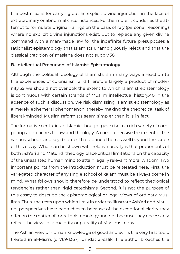the best means for carrying out an explicit divine injunction in the face of extraordinary or abnormal circumstances. Furthermore, it condones the attempt to formulate original rulings on the basis of ra'y (personal reasoning) where no explicit divine injunctions exist. But to replace any given divine command with a man-made law for the indefinite future presupposes a rationalist epistemology that Islamists unambiguously reject and that the classical tradition of maslaha does not supply.38

#### **B. Intellectual Precursors of Islamist Epistemology**

Although the political ideology of Islamists is in many ways a reaction to the experiences of colonialism and therefore largely a product of modernity,39 we should not overlook the extent to which Islamist epistemology is continuous with certain strands of Muslim intellectual history.40 In the absence of such a discussion, we risk dismissing Islamist epistemology as a merely ephemeral phenomenon, thereby making the theoretical task of liberal-minded Muslim reformists seem simpler than it is in fact.

The formative centuries of Islamic thought gave rise to a rich variety of competing approaches to law and theology. A comprehensive treatment of the various schools and key disputes that defined them is well beyond the scope of this essay. What can be shown with relative brevity is that proponents of both Ash'ari and Maturidi theology place critical limitations on the capacity of the unassisted human mind to attain legally relevant moral wisdom. Two important points from the introduction must be reiterated here. First, the variegated character of any single school of kalām must be always borne in mind. What follows should therefore be understood to reflect theological tendencies rather than rigid catechisms. Second, it is not the purpose of this essay to describe the epistemological or legal views of ordinary Muslims. Thus, the texts upon which I rely in order to illustrate Ash'ari and Maturidi perspectives have been chosen because of the exceptional clarity they offer on the matter of moral epistemology and not because they necessarily reflect the views of a majority or plurality of Muslims today.

The Ash'ari view of human knowledge of good and evil is the very first topic treated in al-Misri's (d 769/1367) 'Umdat al-sālik. The author broaches the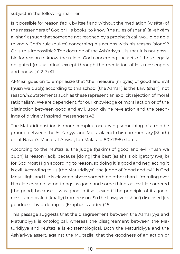subject in the following manner:

Is it possible for reason ('aql), by itself and without the mediation (wisāṭa) of the messengers of God or His books, to know [the rules of sharia] (al-ahkām al-sharī'a) such that someone not reached by a prophet's call would be able to know God's rule (hukm) concerning his actions with his reason [alone]? Or is this impossible? The doctrine of the Ash'ariyya … is that it is not possible for reason to know the rule of God concerning the acts of those legally obligated (mukallafīna) except through the mediation of His messengers and books (a1.2–3).41

Al-Misri goes on to emphasize that 'the measure (miqyas) of good and evil (husn wa qubh) according to this school [the Ash'ari] is the Law (shar'), not reason.'42 Statements such as these represent an explicit rejection of moral rationalism. We are dependent, for our knowledge of moral action or of the distinction between good and evil, upon divine revelation and the teachings of divinely inspired messengers.43

The Maturidi position is more complex, occupying something of a middle ground between the Ash'ariyya and Mu'tazila.44 In his commentary (Sharḥ) on al-Nasafi's Manār al-Anwār, Ibn Malak (d 801/1398) states:

According to the Mu'tazila, the judge (hākim) of good and evil (husn wa qubḥ) is reason ('aql), because [doing] the best (aṣlaḥ) is obligatory (wājib) for God Most High according to reason, so doing it is good and neglecting it is evil. According to us [the Maturidiyya], the judge of [good and evil] is God Most High, and He is elevated above something other than Him ruling over Him. He created some things as good and some things as evil. He ordered [the good] because it was good in itself, even if the principle of its goodness is concealed (khafīy) from reason. So the Lawgiver (shāri') disclosed [its goodness] by ordering it. (Emphasis added)45

This passage suggests that the disagreement between the Ash'ariyya and Maturidiyya is ontological, whereas the disagreement between the Maturidiyya and Mu'tazila is epistemological. Both the Maturidiyya and the Ash'ariyya assert, against the Mu'tazila, that the goodness of an action or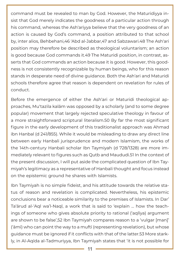command must be revealed to man by God. However, the Maturidiyya insist that God merely indicates the goodness of a particular action through his command, whereas the Ash'ariyya believe that the very goodness of an action is caused by God's command, a position attributed to that school by, inter alios, Behbehani,46 'Abd al-Jabbar,47 and Sabzawari.48 The Ash'ari position may therefore be described as theological voluntarism; an action is good because God commands it.49 The Maturidi position, in contrast, asserts that God commands an action because it is good. However, this goodness is not consistently recognizable by human beings, who for this reason stands in desperate need of divine guidance. Both the Ash'ari and Maturidi schools therefore agree that reason is dependent on revelation for rules of conduct.

Before the emergence of either the Ash'ari or Maturidi theological approaches, Mu'tazila kalām was opposed by a scholarly (and to some degree popular) movement that largely rejected speculative theology in favour of a more straightforward scriptural literalism.50 By far the most significant figure in the early development of this traditionalist approach was Ahmad ibn Hanbal (d 241/855). While it would be misleading to draw any direct line between early Hanbali jurisprudence and modern Islamism, the works of the 14th-century Hanbali scholar Ibn Taymiyah (d 728/1328) are more immediately relevant to figures such as Qutb and Maududi.51 In the context of the present discussion, I will put aside the complicated question of Ibn Taymiyah's legitimacy as a representative of Hanbali thought and focus instead on the epistemic ground he shares with Islamists.

Ibn Taymiyah is no simple fideist, and his attitude towards the relative status of reason and revelation is complicated. Nevertheless, his epistemic conclusions bear a noticeable similarity to the premises of Islamists. In Dar' Ta'ārud al-'Aql wa'l-Naql, a work that is said to 'explain … how the teachings of someone who gives absolute priority to rational ('aqlīya) argument are shown to be false',52 Ibn Taymiyah compares reason to a 'vulgar [man]' ('āmī) who can point the way to a muftī (representing revelation), but whose guidance must be ignored if it conflicts with that of the latter.53 More starkly, in Al-Aqīda al-Tadmuriyya, Ibn Taymiyah states that 'it is not possible for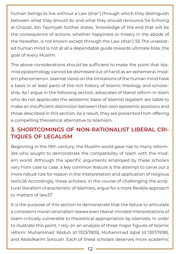human beings to live without a Law (shar') through which they distinguish between what they should do and what they should renounce.'54 Echoing al-Ghazali, Ibn Taymiyah further states, 'knowledge of the end that will be the consequence of actions, whether happiness or misery in the abode of the hereafter, is not known except through the Law (shar').'55 The unassisted human mind is not at all a dependable guide towards ultimate bliss, the goal of every Muslim.

The above considerations should be sufficient to make the point that Islamist epistemology cannot be dismissed out of hand as an ephemeral, modern phenomenon. Islamist views on the limitations of the human mind have a basis in at least parts of the rich history of Islamic theology and scholarship. As I argue in the following section, advocates of liberal reform in Islam who do not appreciate the epistemic basis of Islamist legalism are liable to make an insufficient distinction between their own epistemic positions and those described in this section. As a result, they are prevented from offering a compelling theoretical alternative to Islamism.

# **3. SHORTCOMINGS OF NON-RATIONALIST LIBERAL CRI-TIQUES OF LEGALISM**

Beginning in the 19th century, the Muslim world gave rise to many reformists who sought to demonstrate the compatibility of Islam with the modern world. Although the specific arguments employed by these scholars vary from case to case, a key common feature is the attempt to carve out a more robust role for reason in the interpretation and application of religious texts.56 Accordingly, these scholars, in the course of challenging the scriptural literalism characteristic of Islamists, argue for a more flexible approach to matters of law.57

It is the purpose of this section to demonstrate that the failure to articulate a consistent moral rationalism leaves even liberal-minded interpretations of Islam critically vulnerable to theoretical appropriation by Islamists. In order to illustrate this point, I rely on an analysis of three major figures of Islamic reform: Muhammad 'Abduh (d 1323/1905), Muhammad Iqbal (d 1357/1938), and Abdolkarim Soroush. Each of these scholars deserves more academic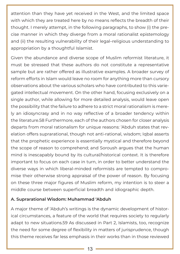attention than they have yet received in the West, and the limited space with which they are treated here by no means reflects the breadth of their thought. I merely attempt, in the following paragraphs, to show (i) the precise manner in which they diverge from a moral rationalist epistemology and (ii) the resulting vulnerability of their legal–religious understanding to appropriation by a thoughtful Islamist.

Given the abundance and diverse scope of Muslim reformist literature, it must be stressed that these authors do not constitute a representative sample but are rather offered as illustrative examples. A broader survey of reform efforts in Islam would leave no room for anything more than cursory observations about the various scholars who have contributed to this variegated intellectual movement. On the other hand, focusing exclusively on a single author, while allowing for more detailed analysis, would leave open the possibility that the failure to adhere to a strict moral rationalism is merely an idiosyncrasy and in no way reflective of a broader tendency within the literature.58 Furthermore, each of the authors chosen for closer analysis departs from moral rationalism for unique reasons: 'Abduh states that revelation offers suprarational, though not anti-rational, wisdom; Iqbal asserts that the prophetic experience is essentially mystical and therefore beyond the scope of reason to comprehend; and Soroush argues that the human mind is inescapably bound by its cultural/historical context. It is therefore important to focus on each case in turn, in order to better understand the diverse ways in which liberal-minded reformists are tempted to compromise their otherwise strong appraisal of the power of reason. By focusing on these three major figures of Muslim reform, my intention is to steer a middle course between superficial breadth and idiographic depth.

#### **A. Suprarational Wisdom: Muhammad 'Abduh**

A major theme of 'Abduh's writings is the dynamic development of historical circumstances, a feature of the world that requires society to regularly adapt to new situations.59 As discussed in Part 2, Islamists, too, recognize the need for some degree of flexibility in matters of jurisprudence, though this theme receives far less emphasis in their works than in those reviewed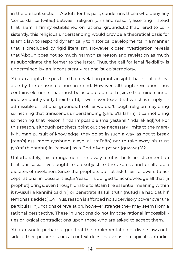in the present section. 'Abduh, for his part, condemns those who deny any 'concordance (wifāq) between religion (dīn) and reason', asserting instead that Islam is firmly established on rational grounds.60 If adhered to consistently, this religious understanding would provide a theoretical basis for Islamic law to respond dynamically to historical developments in a manner that is precluded by rigid literalism. However, closer investigation reveals that 'Abduh does not so much harmonize reason and revelation as much as subordinate the former to the latter. Thus, the call for legal flexibility is undermined by an inconsistently rationalist epistemology.

'Abduh adopts the position that revelation grants insight that is not achievable by the unassisted human mind. However, although revelation thus contains elements that must be accepted on faith (since the mind cannot independently verify their truth), it will never teach that which is simply inadmissible on rational grounds. In other words, 'though religion may bring something that transcends understanding (ya'lū a'lā fahm), it cannot bring something that reason finds impossible (mā yastahīl 'inda al-'aql).'61 For this reason, although prophets point out the necessary limits to the merely human pursuit of knowledge, they do so in such a way 'as not to break [man's] assurance (yashuqq 'alayhi al-iṭmi'nān) nor to take away his trust (ya'raf thiqatahu) in [reason] as a God-given power (quwwa).'62

Unfortunately, this arrangement in no way refutes the Islamist contention that our social lives ought to be subject to the express and unalterable dictates of revelation. Since the prophets do not ask their followers to accept rational impossibilities,63 'reason is obliged to acknowledge all that [a prophet] brings, even though unable to attain the essential meaning within it (wuṣūl ilā kannihi ba'ḍihi) or penetrate its full truth (nufūḏ ilā haqīqatihi)' (emphasis added).64 Thus, reason is afforded no supervisory power over the particular injunctions of revelation, however strange they may seem from a rational perspective. These injunctions do not impose rational impossibilities or logical contradictions upon those who are asked to accept them.

'Abduh would perhaps argue that the implementation of divine laws outside of their proper historical context does involve us in a logical contradic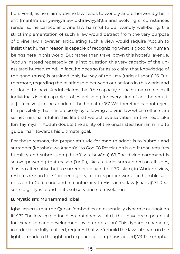tion. For if, as he claims, divine law 'leads to worldly and otherworldly benefit (manfa'a dunyawiyya aw ukhrawiyya)',65 and evolving circumstances render some particular divine law harmful to our worldly well-being, the strict implementation of such a law would detract from the very purpose of divine law. However, articulating such a view would require 'Abduh to insist that human reason is capable of recognizing what is good for human beings here in this world. But rather than travel down this hopeful avenue, 'Abduh instead repeatedly calls into question this very capacity of the unassisted human mind. In fact, he goes so far as to claim that knowledge of the good (ḥusn) is attained 'only by way of the Law (ṭarīq al-shar')'.66 Furthermore, regarding the relationship between our actions in this world and our lot in the next, 'Abduh claims that 'the capacity of the human mind in all individuals is not capable … of establishing for every kind of act the requital [it receives] in the abode of the hereafter.'67 We therefore cannot reject the possibility that it is precisely by following a divine law whose effects are sometimes harmful in this life that we achieve salvation in the next. Like Ibn Taymiyah, 'Abduh doubts the ability of the unassisted human mind to guide man towards his ultimate goal.

For these reasons, the proper attitude for man to adopt is to 'submit and surrender (khasha'a wa khada'a)' to God.68 Revelation is a gift that 'requires humility and submission (khuḍū' wa istikāna)'.69 The divine command is so overpowering that reason ('uqūl), like a citadel surrounded on all sides, 'has no alternative but to surrender (iḏ'aan) to it'.70 Islam, in 'Abduh's view, restores reason to its 'proper dignity, to do its proper work … in humble submission to God alone and in conformity to His sacred law (sharī'a)'.71 Reason's dignity is found in its subservience to revelation.

#### **B. Mysticism: Muhammad Iqbal**

Iqbal asserts that the Qur'an 'embodies an essentially dynamic outlook on life'.72 The few legal principles contained within it thus have great potential for 'expansion and development by interpretation'. This dynamic character, in order to be fully realized, requires that we 'rebuild the laws of sharia in the light of modern thought and experience' (emphasis added).73 The empha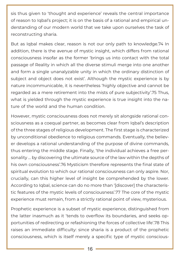sis thus given to 'thought and experience' reveals the central importance of reason to Iqbal's project; it is on the basis of a rational and empirical understanding of our modern world that we take upon ourselves the task of reconstructing sharia.

But as Iqbal makes clear, reason is not our only path to knowledge.74 In addition, there is the avenue of mystic insight, which differs from rational consciousness insofar as the former 'brings us into contact with the total passage of Reality in which all the diverse stimuli merge into one another and form a single unanalyzable unity in which the ordinary distinction of subject and object does not exist'. Although the mystic experience is by nature incommunicable, it is nevertheless 'highly objective and cannot be regarded as a mere retirement into the mists of pure subjectivity'.75 Thus, what is yielded through the mystic experience is true insight into the nature of the world and the human condition.

However, mystic consciousness does not merely sit alongside rational consciousness as a coequal partner, as becomes clear from Iqbal's description of the three stages of religious development. The first stage is characterized by unconditional obedience to religious commands. Eventually, the believer develops a rational understanding of the purpose of divine commands, thus entering the middle stage. Finally, 'the individual achieves a free personality … by discovering the ultimate source of the law within the depths of his own consciousness'.76 Mysticism therefore represents the final state of spiritual evolution to which our rational consciousness can only aspire. Nor, crucially, can this higher level of insight be comprehended by the lower. According to Iqbal, science can do no more than '[discover] the characteristic features of the mystic levels of consciousness'.77 The core of the mystic experience must remain, from a strictly rational point of view, mysterious.

Prophetic experience is a subset of mystic experience, distinguished from the latter inasmuch as it 'tends to overflow its boundaries, and seeks opportunities of redirecting or refashioning the forces of collective life'.78 This raises an immediate difficulty: since sharia is a product of the prophetic consciousness, which is itself merely a specific type of mystic conscious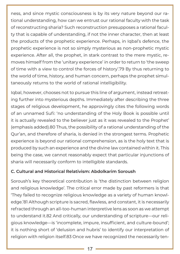ness, and since mystic consciousness is by its very nature beyond our rational understanding, how can we entrust our rational faculty with the task of reconstructing sharia? Such reconstruction presupposes a rational faculty that is capable of understanding, if not the inner character, then at least the products of the prophetic experience. Perhaps, in Iqbal's defence, the prophetic experience is not so simply mysterious as non-prophetic mystic experience. After all, the prophet, in stark contrast to the mere mystic, removes himself from the 'unitary experience' in order to return to 'the sweep of time with a view to control the forces of history'.79 By thus returning to the world of time, history, and human concern, perhaps the prophet simultaneously returns to the world of rational intelligibility.

Iqbal, however, chooses not to pursue this line of argument, instead retreating further into mysterious depths. Immediately after describing the three stages of religious development, he approvingly cites the following words of an unnamed Sufi: 'no understanding of the Holy Book is possible until it is actually revealed to the believer just as it was revealed to the Prophet' (emphasis added).80 Thus, the possibility of a rational understanding of the Qur'an, and therefore of sharia, is denied in the strongest terms. Prophetic experience is beyond our rational comprehension, as is the holy text that is produced by such an experience and the divine law contained within it. This being the case, we cannot reasonably expect that particular injunctions of sharia will necessarily conform to intelligible standards.

#### **C. Cultural and Historical Relativism: Abdolkarim Soroush**

Soroush's key theoretical contribution is 'the distinction between religion and religious knowledge'. The critical error made by past reformers is that 'They failed to recognize religious knowledge as a variety of human knowledge.'81 Although scripture is sacred, flawless, and constant, it is necessarily refracted through an all-too-human interpretive lens as soon as we attempt to understand it.82 And critically, our understanding of scripture—our religious knowledge—is 'incomplete, impure, insufficient, and culture-bound'; it is nothing short of 'delusion and hubris' to identify our interpretation of religion with religion itself.83 Once we have recognized the necessarily ten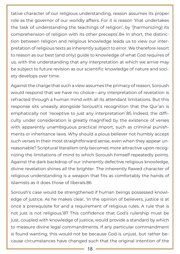tative character of our religious understanding, reason assumes its proper role as the governor of our worldly affairs. For it is reason 'that undertakes the task of understanding the teachings of religion', by '[harmonizing] its comprehension of religion with its other precepts'.84 In short, the distinction between religion and religious knowledge leads us to view our interpretation of religious texts as inherently subject to error. We therefore resort to reason as our best (and only) guide to knowledge of what God requires of us, with the understanding that any interpretation at which we arrive may be subject to future revision as our scientific knowledge of nature and society develops over time.

Against the charge that such a view assumes the primacy of reason, Soroush would respond that we have no choice—any interpretation of revelation is refracted through a human mind with all its attendant limitations. But this response sits uneasily alongside Soroush's recognition that the Qur'an is emphatically not 'receptive to just any interpretation'.85 Indeed, the difficulty under consideration is greatly magnified by the existence of verses with apparently unambiguous practical import, such as criminal punishments or inheritance laws. Why should a pious believer not humbly accept such verses in their most straightforward sense, even when they appear unreasonable? Scriptural literalism only becomes more attractive upon recognizing the limitations of mind to which Soroush himself repeatedly points. Against the dark backdrop of our inherently defective religious knowledge, divine revelation shines all the brighter. The inherently flawed character of religious understanding is a weapon that fits as comfortably the hands of Islamists as it does those of liberals.86

Soroush's case would be strengthened if human beings possessed knowledge of justice. As he makes clear, 'In the opinion of believers, justice is at once a prerequisite for and a requirement of religious rules. A rule that is not just is not religious.'87 This confidence that God's rulership must be just, coupled with knowledge of justice, would provide a standard by which to measure divine legal commandments. If any particular commandment is found wanting, this would not be because God is unjust, but rather because circumstances have changed such that the original intention of the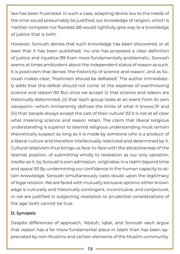law has been frustrated. In such a case, adapting divine law to the needs of the time would presumably be justified; our knowledge of religion, which is 'neither complete nor flawless',88 would rightfully give way to a knowledge of justice that is both.

However, Soroush denies that such knowledge has been discovered, or at least that it has been published: 'no one has proposed a clear definition of justice and injustice.'89 Even more fundamentally problematic, Soroush seems at times ambivalent about the independent status of reason as such. It is positivism that denies 'the historicity of science and reason', and as Soroush makes clear, 'Positivism should be defeated.' The author immediately adds that this defeat should not come 'at the expense of overthrowing science and reason'.90 But once we accept (i) that science and reason are historically determined, (ii) that 'each group looks at an event from its own viewpoint—which immanently defines the limits of what it knows',91 and (iii) that 'people always accept the cast of their culture',92 it is not at all clear what meaning science and reason retain. The claim that liberal religious understanding is superior to Islamist religious understanding must remain theoretically suspect as long as it is made by someone who is a product of a liberal culture and therefore intellectually restricted and determined by it. Cultural relativism thus brings us face-to-face with the attractiveness of the Islamist position, of submitting wholly to revelation as our only salvation, insofar as it, by Soroush's own admission, 'originates in a realm beyond time and space'.93 By undermining our confidence in the human capacity to attain knowledge, Soroush simultaneously casts doubt upon the legitimacy of legal revision. We are faced with mutually exclusive options: either knowledge is culturally and historically contingent, inconclusive, and conjectural, or we are justified in subjecting revelation to prudential considerations of the age; both cannot be true.

#### **D. Synopsis**

Despite differences of approach, 'Abduh, Iqbal, and Soroush each argue that reason has a far more fundamental place in Islam than has been appreciated by non-Muslims and certain elements of the Muslim community.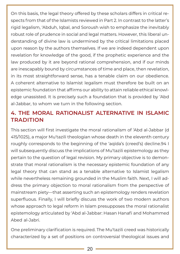On this basis, the legal theory offered by these scholars differs in critical respects from that of the Islamists reviewed in Part 2. In contrast to the latter's rigid legalism, 'Abduh, Iqbal, and Soroush wish to emphasize the inevitably robust role of prudence in social and legal matters. However, this liberal understanding of divine law is undermined by the critical limitations placed upon reason by the authors themselves. If we are indeed dependent upon revelation for knowledge of the good, if the prophetic experience and the law produced by it are beyond rational comprehension, and if our minds are inescapably bound by circumstances of time and place, then revelation, in its most straightforward sense, has a tenable claim on our obedience. A coherent alternative to Islamist legalism must therefore be built on an epistemic foundation that affirms our ability to attain reliable ethical knowledge unassisted. It is precisely such a foundation that is provided by 'Abd al-Jabbar, to whom we turn in the following section.

# **4. THE MORAL RATIONALIST ALTERNATIVE IN ISLAMIC TRADITION**

This section will first investigate the moral rationalism of 'Abd al-Jabbar (d 415/1025), a major Mu'tazili theologian whose death in the eleventh century roughly corresponds to the beginning of the 'aqīda's (creed's) decline.94 I will subsequently discuss the implications of Mu'tazili epistemology as they pertain to the question of legal revision. My primary objective is to demonstrate that moral rationalism is the necessary epistemic foundation of any legal theory that can stand as a tenable alternative to Islamist legalism while nevertheless remaining grounded in the Muslim faith. Next, I will address the primary objection to moral rationalism from the perspective of mainstream piety—that asserting such an epistemology renders revelation superfluous. Finally, I will briefly discuss the work of two modern authors whose approach to legal reform in Islam presupposes the moral rationalist epistemology articulated by 'Abd al-Jabbar: Hasan Hanafi and Mohammed Abed al-Jabri.

One preliminary clarification is required. The Mu'tazili creed was historically characterized by a set of positions on controversial theological issues and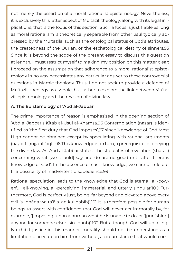not merely the assertion of a moral rationalist epistemology. Nevertheless, it is exclusively this latter aspect of Mu'tazili theology, along with its legal implications, that is the focus of this section. Such a focus is justifiable as long as moral rationalism is theoretically separable from other uṣūl typically addressed by the Mu'tazila, such as the ontological status of God's attributes, the createdness of the Qur'an, or the eschatological destiny of sinners.95 Since it is beyond the scope of the present essay to discuss this question at length, I must restrict myself to making my position on this matter clear: I proceed on the assumption that adherence to a moral rationalist epistemology in no way necessitates any particular answer to these controversial questions in Islamic theology. Thus, I do not seek to provide a defence of Mu'tazili theology as a whole, but rather to explore the link between Mu'tazili epistemology and the revision of divine law.

#### **A. The Epistemology of 'Abd al-Jabbar**

The prime importance of reason is emphasized in the opening section of 'Abd al-Jabbar's Kitab al-Usul al-Khamsa.96 Contemplation (naẓar) is identified as 'the first duty that God imposes',97 since 'knowledge of God Most High cannot be obtained except by speculating with rational arguments (nazar fī hujja al-'aql)'.98 This knowledge is, in turn, a prerequisite for obeying the divine law. As 'Abd al-Jabbar states, 'the stipulates of revelation (sharā'i) concerning what [we should] say and do are no good until after there is knowledge of God'. In the absence of such knowledge, we cannot rule out the possibility of inadvertent disobedience.99

Rational speculation leads to the knowledge that God is eternal, all-powerful, all-knowing, all-perceiving, immaterial, and utterly singular.100 Furthermore, God is perfectly just, being 'far beyond and elevated above every evil (subhāna wa ta'āla 'an kul qabīḥ)'.101 It is therefore possible for human beings to assert with confidence that God will never act immorally by, for example, '[imposing] upon a human what he is unable to do' or '[punishing] anyone for someone else's sin (ḏanb)'.102 But although God will unfailingly exhibit justice in this manner, morality should not be understood as a limitation placed upon him from without, a circumstance that would com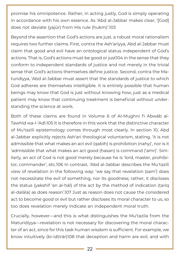promise his omnipotence. Rather, in acting justly, God is simply operating in accordance with his own essence. As 'Abd al-Jabbar makes clear, '[God] does not deviate (yajūr) from His rule (ḥukm)'.103

Beyond the assertion that God's actions are just, a robust moral rationalism requires two further claims. First, contra the Ash'ariyya, Abd al-Jabbar must claim that good and evil have an ontological status independent of God's actions. That is, God's actions must be good or just104 in the sense that they conform to independent standards of justice and not merely in the trivial sense that God's actions themselves define justice. Second, contra the Maturidiyya, 'Abd al-Jabbar must assert that the standards of justice to which God adheres are themselves intelligible. It is entirely possible that human beings may know that God is just without knowing how, just as a medical patient may know that continuing treatment is beneficial without understanding the science at work.

Both of these claims are found in Volume 6 of Al-Mughni fi Abwāb al-Tawhīd wa-l-'Adl.105 It is therefore in this work that the distinctive character of Mu'tazili epistemology comes through most clearly. In section 10, Abd al-Jabbar explicitly rejects Ash'ari theological voluntarism, stating, 'it is not admissible that what makes an act evil (qabīḥ) is prohibition (nahy)', nor is it 'admissible that what makes an act good (hasan) is command ('amr)'. Similarly, an act of God is not good merely because he is 'lord, master, prohibitor, commander', etc.106 In contrast, 'Abd al-Jabbar describes the Mu'tazili view of revelation in the following way: 'we say that revelation (sam') does not necessitate the evil of something, nor its goodness; rather, it discloses the status (yakshif 'an al-hāl) of the act by the method of indication (tariq al-dalāla) as does reason'.107 Just as reason does not cause the considered act to become good or evil but rather discloses its moral character to us, so too does revelation merely indicate an independent moral truth.

Crucially, however—and this is what distinguishes the Mu'tazila from the Maturidiyya—revelation is not necessary for discovering the moral character of an act, since for this task human wisdom is sufficient. For example, we know intuitively (bi-iḍṭirār)108 that deception and harm are evil, and with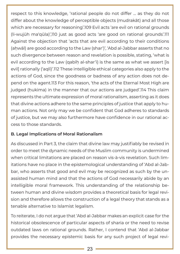respect to this knowledge, 'rational people do not differ … as they do not differ about the knowledge of perceptible objects (mudrakāt) and all those which are necessary for reasoning'.109 Evil acts 'are evil on rational grounds (li-wujūh ma'qūla)',110 just as good acts 'are good on rational grounds'.111 Against the objection that 'acts that are evil according to their conditions (ahwāl) are good according to the Law (shar')', 'Abd al-Jabbar asserts that no such divergence between reason and revelation is possible, stating, 'what is evil according to the Law (qabīh al-shar'ī) is the same as what we assert [is evil] rationally ('aqlī)'.112 These intelligible ethical categories also apply to the actions of God, since the goodness or badness of any action does not depend on the agent.113 For this reason, 'the acts of the Eternal Most High are judged (ḥukima) in the manner that our actions are judged'.114 This claim represents the ultimate expression of moral rationalism, asserting as it does that divine actions adhere to the same principles of justice that apply to human actions. Not only may we be confident that God adheres to standards of justice, but we may also furthermore have confidence in our rational access to those standards.

#### **B. Legal Implications of Moral Rationalism**

As discussed in Part 3, the claim that divine law may justifiably be revised in order to meet the dynamic needs of the Muslim community is undermined when critical limitations are placed on reason vis-à-vis revelation. Such limitations have no place in the epistemological understanding of 'Abd al-Jabbar, who asserts that good and evil may be recognized as such by the unassisted human mind and that the actions of God necessarily abide by an intelligible moral framework. This understanding of the relationship between human and divine wisdom provides a theoretical basis for legal revision and therefore allows the construction of a legal theory that stands as a tenable alternative to Islamist legalism.

To reiterate, I do not argue that 'Abd al-Jabbar makes an explicit case for the historical obsolescence of particular aspects of sharia or the need to revise outdated laws on rational grounds. Rather, I contend that 'Abd al-Jabbar provides the necessary epistemic basis for any such project of legal revi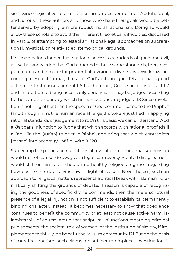sion. Since legislative reform is a common desideratum of 'Abduh, Iqbal, and Soroush, these authors and those who share their goals would be better served by adopting a more robust moral rationalism. Doing so would allow these scholars to avoid the inherent theoretical difficulties, discussed in Part 3, of attempting to establish rational-legal approaches on suprarational, mystical, or relativist epistemological grounds.

If human beings indeed have rational access to standards of good and evil, as well as knowledge that God adheres to these same standards, then a cogent case can be made for prudential revision of divine laws. We know, according to 'Abd al-Jabbar, that all of God's acts are good115 and that a good act is one that causes benefit.116 Furthermore, God's speech is an act,117 and in addition to being necessarily beneficial, it may be judged according to the same standard by which human actions are judged.118 Since revelation is nothing other than the speech of God communicated to the Prophet (and through him, the human race at large),119 we are justified in applying rational standards of judgement to it. On this basis, we can understand 'Abd al-Jabbar's injunction to 'judge that which accords with rational proof (dalīl al-'aql) [in the Qur'an] to be true (sihha), and bring that which contradicts [reason] into accord (yuwāfiq) with it'.120

Subjecting the particular injunctions of revelation to prudential supervision would not, of course, do away with legal controversy. Spirited disagreement would still remain—as it should in a healthy religious regime—regarding how best to interpret divine law in light of reason. Nevertheless, such an approach to religious matters represents a critical break with Islamism, dramatically shifting the grounds of debate. If reason is capable of recognizing the goodness of specific divine commands, then the mere scriptural presence of a legal injunction is not sufficient to establish its permanently binding character. Instead, it becomes necessary to show that obedience continues to benefit the community or at least not cause active harm. Islamists will, of course, argue that scriptural injunctions regarding criminal punishments, the societal role of women, or the institution of slavery, if implemented faithfully, do benefit the Muslim community.121 But on the basis of moral rationalism, such claims are subject to empirical investigation; it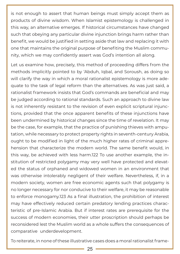is not enough to assert that human beings must simply accept them as products of divine wisdom. When Islamist epistemology is challenged in this way, an alternative emerges. If historical circumstances have changed such that obeying any particular divine injunction brings harm rather than benefit, we would be justified in setting aside that law and replacing it with one that maintains the original purpose of benefiting the Muslim community, which we may confidently assert was God's intention all along.

Let us examine how, precisely, this method of proceeding differs from the methods implicitly pointed to by 'Abduh, Iqbal, and Soroush, as doing so will clarify the way in which a moral rationalist epistemology is more adequate to the task of legal reform than the alternatives. As was just said, a rationalist framework insists that God's commands are beneficial and may be judged according to rational standards. Such an approach to divine law is not inherently resistant to the revision of even explicit scriptural injunctions, provided that the once apparent benefits of these injunctions have been undermined by historical changes since the time of revelation. It may be the case, for example, that the practice of punishing thieves with amputation, while necessary to protect property rights in seventh-century Arabia, ought to be modified in light of the much higher rates of criminal apprehension that characterize the modern world. The same benefit would, in this way, be achieved with less harm.122 To use another example, the institution of restricted polygamy may very well have protected and elevated the status of orphaned and widowed women in an environment that was otherwise intolerably negligent of their welfare. Nevertheless, if, in a modern society, women are free economic agents such that polygamy is no longer necessary for nor conducive to their welfare, it may be reasonable to enforce monogamy.123 As a final illustration, the prohibition of interest may have effectively reduced certain predatory lending practices characteristic of pre-Islamic Arabia. But if interest rates are prerequisite for the success of modern economies, their utter proscription should perhaps be reconsidered lest the Muslim world as a whole suffers the consequences of comparative underdevelopment.

To reiterate, in none of these illustrative cases does a moral rationalist frame-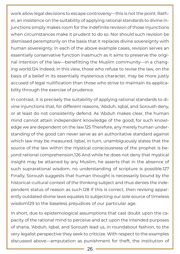work allow legal decisions to escape controversy—this is not the point. Rather, an insistence on the suitability of applying rational standards to divine injunctions simply makes room for the indefinite revision of those injunctions when circumstances make it prudent to do so. Nor should such revision be dismissed peremptorily on the basis that it replaces divine sovereignty with human sovereignty. In each of the above example cases, revision serves an essentially conservative function inasmuch as it aims to preserve the original intention of the law—benefitting the Muslim community—in a changing world.124 Indeed, in this view, those who refuse to revise the law, on the basis of a belief in its essentially mysterious character, may be more justly accused of legal nullification than those who strive to maintain its applicability through the exercise of prudence.

In contrast, it is precisely the suitability of applying rational standards to divine injunctions that, for different reasons, 'Abduh, Iqbal, and Soroush deny, or at least do not consistently defend. As 'Abduh makes clear, the human mind cannot attain independent knowledge of the good; for such knowledge we are dependent on the law.125 Therefore, any merely human understanding of the good can never serve as an authoritative standard against which law may be measured. Iqbal, in turn, unambiguously states that the source of the law within the mystical consciousness of the prophet is beyond rational comprehension.126 And while he does not deny that mystical insight may be attained by any Muslim, he asserts that in the absence of such suprarational wisdom, no understanding of scripture is possible.127 Finally, Soroush suggests that human thought is necessarily bound by the historical–cultural context of the thinking subject and thus denies the independent status of reason as such.128 If this is correct, then revising apparently outdated divine laws equates to subjecting our sole source of timeless wisdom129 to the baseless prejudices of our particular age.

In short, due to epistemological assumptions that cast doubt upon the capacity of the rational mind to perceive and act upon the intended purposes of sharia, 'Abduh, Iqbal, and Soroush lead us, in roundabout fashion, to the very legalist perspective they seek to criticize. With respect to the examples discussed above—amputation as punishment for theft, the institution of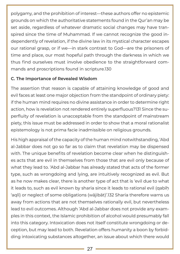polygamy, and the prohibition of interest—these authors offer no epistemic grounds on which the authoritative statements found in the Qur'an may be set aside, regardless of whatever dramatic social changes may have transpired since the time of Muhammad. If we cannot recognize the good independently of revelation, if the divine law in its mystical character escapes our rational grasp, or if we—in stark contrast to God—are the prisoners of time and place, our most hopeful path through the darkness in which we thus find ourselves must involve obedience to the straightforward commands and proscriptions found in scripture.130

#### **C. The Importance of Revealed Wisdom**

The assertion that reason is capable of attaining knowledge of good and evil faces at least one major objection from the standpoint of ordinary piety: if the human mind requires no divine assistance in order to determine right action, how is revelation not rendered entirely superfluous?131 Since the superfluity of revelation is unacceptable from the standpoint of mainstream piety, this issue must be addressed in order to show that a moral rationalist epistemology is not prima facie inadmissible on religious grounds.

His high appraisal of the capacity of the human mind notwithstanding, 'Abd al-Jabbar does not go so far as to claim that revelation may be dispensed with. The unique benefits of revelation become clear when he distinguishes acts that are evil in themselves from those that are evil only because of what they lead to. 'Abd al-Jabbar has already stated that acts of the former type, such as wrongdoing and lying, are intuitively recognized as evil. But as he now makes clear, there is another type of act that is 'evil due to what it leads to, such as evil known by sharia since it leads to rational evil (qabīḥ 'aqlī) or neglect of some obligations (wājibāt)'.132 Sharia therefore warns us away from actions that are not themselves rationally evil, but nevertheless lead to evil outcomes. Although 'Abd al-Jabbar does not provide any examples in this context, the Islamic prohibition of alcohol would presumably fall into this category. Intoxication does not itself constitute wrongdoing or deception, but may lead to both. Revelation offers humanity a boon by forbidding intoxicating substances altogether, an issue about which there would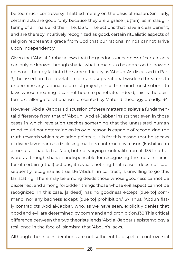be too much controversy if settled merely on the basis of reason. Similarly, certain acts are good 'only because they are a grace (lutfan), as in slaughtering of animals and their like.'133 Unlike actions that have a clear benefit, and are thereby intuitively recognized as good, certain ritualistic aspects of religion represent a grace from God that our rational minds cannot arrive upon independently.

Given that 'Abd al-Jabbar allows that the goodness or badness of certain acts can only be known through sharia, what remains to be addressed is how he does not thereby fall into the same difficulty as 'Abduh. As discussed in Part 3, the assertion that revelation contains suprarational wisdom threatens to undermine any rational reformist project, since the mind must submit to laws whose meaning it cannot hope to penetrate. Indeed, this is the epistemic challenge to rationalism presented by Maturidi theology broadly.134

However, 'Abd al-Jabbar's discussion of these matters displays a fundamental difference from that of 'Abduh. 'Abd al-Jabbar insists that even in those cases in which revelation teaches something that the unassisted human mind could not determine on its own, reason is capable of recognizing the truth towards which revelation points it. It is for this reason that he speaks of divine law (shar') as 'disclosing matters confirmed by reason (kāshifan 'an al-umūr al-thābita fī al-'aql), but not varying (mukhālif) from it.'135 In other words, although sharia is indispensable for recognizing the moral character of certain (ritual) actions, it reveals nothing that reason does not subsequently recognize as true.136 'Abduh, in contrast, is unwilling to go this far, stating, 'There may be among deeds those whose goodness cannot be discerned, and among forbidden things those whose evil aspect cannot be recognized. In this case, [a deed] has no goodness except [due to] command, nor any badness except [due to] prohibition.'137 Thus, 'Abduh flatly contradicts 'Abd al-Jabbar, who, as we have seen, explicitly denies that good and evil are determined by command and prohibition.138 This critical difference between the two theorists lends 'Abd al-Jabbar's epistemology a resilience in the face of Islamism that 'Abduh's lacks.

Although these considerations are not sufficient to dispel all controversial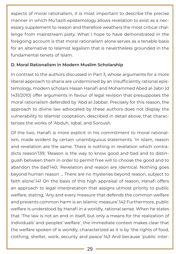aspects of moral rationalism, it is most important to describe the precise manner in which Mu'tazili epistemology allows revelation to exist as a necessary supplement to reason and therefore weathers the most critical challenge from mainstream piety. What I hope to have demonstrated in the foregoing account is that moral rationalism alone serves as a tenable basis for an alternative to Islamist legalism that is nevertheless grounded in the fundamental tenets of Islam.

#### **D. Moral Rationalism in Modern Muslim Scholarship**

In contrast to the authors discussed in Part 3, whose arguments for a more liberal approach to sharia are undermined by an insufficiently rational epistemology, modern scholars Hasan Hanafi and Mohammed Abed al-Jabri (d 1431/2010) offer arguments in favour of legal revision that presupposes the moral rationalism defended by 'Abd al-Jabbar. Precisely for this reason, the approach to divine law advocated by these authors does not display the vulnerability to Islamist cooptation, described in detail above, that characterizes the works of 'Abduh, Iqbal, and Soroush.

Of the two, Hanafi is more explicit in his commitment to moral rationalism, made evident by certain unambiguous statements: 'In Islam, reason and revelation are the same. There is nothing in revelation which contradicts reason'139; 'Reason is the way to know good and bad and to distinguish between them in order to permit free will to choose the good and to abandon the bad'140; 'Revelation and reason are identical. Nothing goes beyond human reason … There are no mysteries beyond reason, subject to faith alone'.141 On the basis of this high appraisal of reason, Hanafi offers an approach to legal interpretation that assigns utmost priority to public welfare, stating, 'Any and every measure that defends the common welfare and prevents common harm is an Islamic measure'.142 Furthermore, public welfare is understood by Hanafi in a worldly, rational sense. When he states that 'The law is not an end in itself, but only a means for the realization of individuals' and peoples' welfare', the immediate context makes clear that the welfare spoken of is worldly, characterized as it is by 'the rights of food, clothing, shelter, work, security and peace'.143 And because 'public inter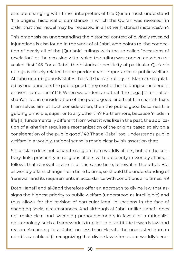ests are changing with time', interpreters of the Qur'an must understand 'the original historical circumstance in which the Qur'an was revealed', in order that this model may be 'repeated in all other historical instances'.144

This emphasis on understanding the historical context of divinely revealed injunctions is also found in the work of al-Jabri, who points to 'the connection of nearly all of the [Qur'anic] rulings with the so-called "occasions of revelation" or the occasion with which the ruling was connected when revealed first'.145 For al-Jabri, the historical specificity of particular Qur'anic rulings is closely related to the predominant importance of public welfare. Al-Jabri unambiguously states that 'all shari'ah rulings in Islam are regulated by one principle: the public good. They exist either to bring some benefit or avert some harm'.146 When we understand that 'the [legal] intent of alshari'ah is … in consideration of the public good, and that the shari'ah texts themselves aim at such consideration, then the public good becomes the guiding principle, superior to any other'.147 Furthermore, because 'modern life [is] fundamentally different from what it was like in the past, the application of al-shari'ah requires a reorganization of the origins based solely on a consideration of the public good'.148 That al-Jabri, too, understands public welfare in a worldly, rational sense is made clear by his assertion that:

Since Islam does not separate religion from worldly affairs, but, on the contrary, links prosperity in religious affairs with prosperity in worldly affairs, it follows that renewal in one is, at the same time, renewal in the other. But as worldly affairs change from time to time, so should the understanding of 'renewal' and its requirements in accordance with conditions and times.149

Both Hanafi and al-Jabri therefore offer an approach to divine law that assigns the highest priority to public welfare (understood as intelligible) and thus allows for the revision of particular legal injunctions in the face of changing social circumstances. And although al-Jabri, unlike Hanafi, does not make clear and sweeping pronouncements in favour of a rationalist epistemology, such a framework is implicit in his attitude towards law and reason. According to al-Jabri, no less than Hanafi, the unassisted human mind is capable of (i) recognizing that divine law intends our worldly bene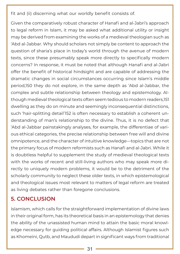fit and (ii) discerning what our worldly benefit consists of.

Given the comparatively robust character of Hanafi and al-Jabri's approach to legal reform in Islam, it may be asked what additional utility or insight may be derived from examining the works of a medieval theologian such as 'Abd al-Jabbar. Why should scholars not simply be content to approach the question of sharia's place in today's world through the avenue of modern texts, since these presumably speak more directly to specifically modern concerns? In response, it must be noted that although Hanafi and al-Jabri offer the benefit of historical hindsight and are capable of addressing the dramatic changes in social circumstances occurring since Islam's middle period,150 they do not explore, in the same depth as 'Abd al-Jabbar, the complex and subtle relationship between theology and epistemology. Although medieval theological texts often seem tedious to modern readers,151 dwelling as they do on minute and seemingly inconsequential distinctions, such 'hair-splitting detail'152 is often necessary to establish a coherent understanding of man's relationship to the divine. Thus, it is no defect that 'Abd al-Jabbar painstakingly analyses, for example, the differentiae of various ethical categories, the precise relationship between free will and divine omnipotence, and the character of intuitive knowledge—topics that are not the primary focus of modern reformists such as Hanafi and al-Jabri. While it is doubtless helpful to supplement the study of medieval theological texts with the works of recent and still-living authors who may speak more directly to uniquely modern problems, it would be to the detriment of the scholarly community to neglect these older texts, in which epistemological and theological issues most relevant to matters of legal reform are treated as living debates rather than foregone conclusions.

# **5. CONCLUSION**

Islamism, which calls for the straightforward implementation of divine laws in their original form, has its theoretical basis in an epistemology that denies the ability of the unassisted human mind to attain the basic moral knowledge necessary for guiding political affairs. Although Islamist figures such as Khomeini, Qutb, and Maududi depart in significant ways from traditional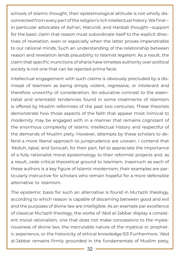schools of Islamic thought, their epistemological attitude is not wholly disconnected from every part of the religion's rich intellectual history. We find in particular advocates of Ash'ari, Maturidi, and Hanbali thought—support for the basic claim that reason must subordinate itself to the explicit directives of revelation, even or especially when the latter proves impenetrable to our rational minds. Such an understanding of the relationship between reason and revelation lends plausibility to Islamist legalism. As a result, the claim that specific inunctions of sharia have timeless authority over political society is not one that can be rejected prima facie.

Intellectual engagement with such claims is obviously precluded by a dismissal of Islamism as being simply violent, regressive, or intolerant and therefore unworthy of consideration. An educative contrast to the essentialist and orientalist tendencies found in some treatments of Islamism is offered by Muslim reformists of the past two centuries. These theorists demonstrate how those aspects of the faith that appear most inimical to modernity may be engaged with in a manner that remains cognizant of the enormous complexity of Islamic intellectual history and respectful of the demands of Muslim piety. However, attempts by these scholars to defend a more liberal approach to jurisprudence are uneven. I contend that 'Abduh, Iqbal, and Soroush, for their part, fail to appreciate the importance of a fully rationalist moral epistemology to their reformist projects and, as a result, cede critical theoretical ground to Islamism. Inasmuch as each of these authors is a key figure of Islamic modernism, their examples are particularly instructive for scholars who remain hopeful for a more defensible alternative to Islamism.

The epistemic basis for such an alternative is found in Mu'tazili theology, according to which reason is capable of discerning between good and evil and the purposes of divine law are intelligible. As an example par excellence of classical Mu'tazili theology, the works of 'Abd al-Jabbar display a consistent moral rationalism, one that does not make concessions to the mysteriousness of divine law, the inscrutable nature of the mystical or prophetic experience, or the historicity of ethical knowledge.153 Furthermore, 'Abd al-Jabbar remains firmly grounded in the fundamentals of Muslim piety,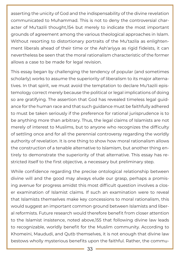asserting the unicity of God and the indispensability of the divine revelation communicated to Muhammad. This is not to deny the controversial character of Mu'tazili thought,154 but merely to indicate the most important grounds of agreement among the various theological approaches in Islam. Without resorting to distortionary portraits of the Mu'tazila as enlightenment liberals ahead of their time or the Ash'ariyya as rigid fideists, it can nevertheless be seen that the moral rationalism characteristic of the former allows a case to be made for legal revision.

This essay began by challenging the tendency of popular (and sometimes scholarly) works to assume the superiority of liberalism to its major alternatives. In that spirit, we must avoid the temptation to declare Mu'tazili epistemology correct merely because the political or legal implications of doing so are gratifying. The assertion that God has revealed timeless legal guidance for the human race and that such guidance must be faithfully adhered to must be taken seriously if the preference for rational jurisprudence is to be anything more than arbitrary. Thus, the legal claims of Islamists are not merely of interest to Muslims, but to anyone who recognizes the difficulty of settling once and for all the perennial controversy regarding the worldly authority of revelation. It is one thing to show how moral rationalism allows the construction of a tenable alternative to Islamism, but another thing entirely to demonstrate the superiority of that alternative. This essay has restricted itself to the first objective, a necessary but preliminary step.

While confidence regarding the precise ontological relationship between divine will and the good may always elude our grasp, perhaps a promising avenue for progress amidst this most difficult question involves a closer examination of Islamist claims. If such an examination were to reveal that Islamists themselves make key concessions to moral rationalism, this would suggest an important common ground between Islamists and liberal reformists. Future research would therefore benefit from closer attention to the Islamist insistence, noted above,155 that following divine law leads to recognizable, worldly benefit for the Muslim community. According to Khomeini, Maududi, and Qutb themselves, it is not enough that divine law bestows wholly mysterious benefits upon the faithful. Rather, the commu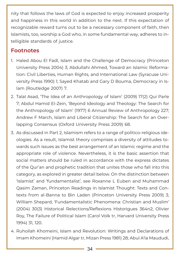nity that follows the laws of God is expected to enjoy increased prosperity and happiness in this world in addition to the next. If this expectation of recognizable reward turns out to be a necessary component of faith, then Islamists, too, worship a God who, in some fundamental way, adheres to intelligible standards of justice.

#### **Footnotes**

- 1. Haled Abou El Fadl, Islam and the Challenge of Democracy (Princeton University Press 2004) 3; Abdullahi Ahmed, Toward an Islamic Reformation: Civil Liberties, Human Rights, and International Law (Syracuse University Press 1990) 1; Sayed Khatab and Gary D Bouma, Democracy in Islam (Routledge 2007) 7.
- 2. Talal Asad, 'The Idea of an Anthropology of Islam' (2009) 17(2) Qui Parle 7; Abdul Hamid El-Zein, 'Beyond Ideology and Theology: The Search for the Anthropology of Islam' (1977) 6 Annual Review of Anthropology 227; Andrew F March, Islam and Liberal Citizenship: The Search for an Overlapping Consensus (Oxford University Press 2009) 68.
- 3. As discussed in Part 2, Islamism refers to a range of politico-religious ideologies. As a result, Islamist theory comprises a diversity of attitudes towards such issues as the best arrangement of an Islamic regime and the appropriate role of violence. Nevertheless, it is the basic assertion that social matters should be ruled in accordance with the express dictates of the Qur'an and prophetic tradition that unites those who fall into this category, as explored in greater detail below. On the distinction between 'Islamist' and 'fundamentalist', see Roxanne L Euben and Muhammad Qasim Zaman, Princeton Readings in Islamist Thought: Texts and Contexts from al-Banna to Bin Laden (Princeton University Press 2009) 3; William Shepard, 'Fundamentalistic Phenomena: Christian and Muslim' (2004) 30(3) Historical Relections/Reflexions Historigues 364n2; Olivier Roy, The Failure of Political Islam (Carol Volk tr, Harvard University Press 1994) 31, 120.
- 4. Ruhollah Khomeini, Islam and Revolution: Writings and Declarations of Imam Khomeini (Hamid Algar tr, Mizan Press 1981) 28; Abul A'la Maududi,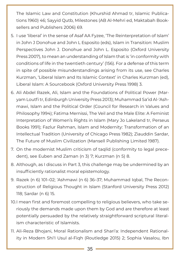The Islamic Law and Constitution (Khurshid Ahmad tr, Islamic Publications 1960) 46; Sayyid Qutb, Milestones (AB Al-Mehri ed, Maktabah Booksellers and Publishers 2006) 69.

- 5. I use 'liberal' in the sense of Asaf AA Fyzee, 'The Reinterpretation of Islam' in John J Donohue and John L Esposito (eds), Islam in Transition: Muslim Perspectives John J. Donohue and John L. Esposito (Oxford University Press 2007), to mean an understanding of Islam that is 'in conformity with conditions of life in the twentieth century' (156). For a defense of this term in spite of possible misunderstandings arising from its use, see Charles Kurzman, 'Liberal Islam and Its Islamic Context' in Charles Kurzman (ed), Liberal Islam: A Sourcebook (Oxford University Press 1998) 3.
- 6. Ali Abdel Razek, Ali, Islam and the Foundations of Political Power (Maryam Loutfi tr, Edinburgh University Press 2013); Muhammad Sa'id Al-'Ashmawi, Islam and the Political Order (Council for Research in Values and Philosophy 1994); Fatima Mernissi, The Veil and the Male Elite: A Feminist Interpretation of Women's Rights in Islam (Mary Jo Lakeland tr, Perseus Books 1991); Fazlur Rahman, Islam and Modernity: Transformation of an Intellectual Tradition (University of Chicago Press 1982); Ziauddin Sardar, The Future of Muslim Civilization (Mansell Publishing Limited 1987).
- 7. On the modernist Muslim criticism of taqlīd (conformity to legal precedent), see Euben and Zaman (n 3) 7; Kurzman (n 5) 8.
- 8. Although, as I discuss in Part 3, this challenge may be undermined by an insufficiently rationalist moral epistemology.
- 9. Razek (n 6) 101–02; 'Ashmawi (n 6) 36–37; Muhammad Iqbal, The Reconstruction of Religious Thought in Islam (Stanford University Press 2012) 118; Sardar (n 6) 15.
- 10.I mean first and foremost compelling to religious believers, who take seriously the demands made upon them by God and are therefore at least potentially persuaded by the relatively straightforward scriptural literalism characteristic of Islamists.
- 11. Ali-Reza Bhojani, Moral Rationalism and Shari'a: Independent Rationality in Modern Shi'I Usul al-Fiqh (Routledge 2015) 2; Sophia Vasalou, Ibn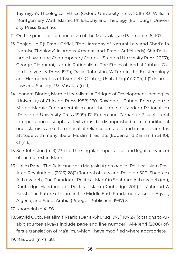Taymiyya's Theological Ethics (Oxford University Press 2016) 93; William Montgomery Watt, Islamic Philosophy and Theology (Edinburgh University Press 1985) 46.

- 12.On the practical traditionalism of the Mu'tazila, see Rahman (n 6) 107.
- 13.Bhojani (n 11); Frank Griffel, 'The Harmony of Natural Law and Shari'a in Islamist Theology' in Abbas Amanat and Frank Griffel (eds) Shari'a: Islamic Law in the Contemporary Context (Stanford University Press 2007); George F Hourani, Islamic Rationalism: The Ethics of 'Abd al-Jabbar (Oxford University Press 1971); David Johnston, 'A Turn in the Epistemology and Hermeneutics of Twentieth Century Usul al-Fiqh' (2004) 11(2) Islamic Law and Society 233; Vasalou (n 11).
- 14.Leonard Binder, Islamic Liberalism: A Critique of Development Ideologies (University of Chicago Press 1988) 170; Roxanne L Euben, Enemy in the Mirror: Islamic Fundamentalism and the Limits of Modern Rationalism (Princeton University Press 1999) 17; Euben and Zaman (n 3) 4. A literal interpretation of scriptural texts must be distinguished from a traditional one. Islamists are often critical of reliance on taqlīd and in fact share this attitude with many liberal Muslim theorists (Euben and Zaman (n 3) 10); cf (n 6).
- 15.See Johnston (n 13) 234 for the singular importance (and legal relevance) of sacred text in Islam.
- 16.Halim Rane, 'The Relevance of a Maqasid Approach for Political Islam Post Arab Revolutions' (2013) 28(2) Journal of Law and Religion 500; Shahram Akbarzadeh, 'The Paradox of Political Islam' in Shahram Akbarzadeh (ed), Routledge Handbook of Political Islam (Routledge 2011) 1; Mahmud A Faksh, The Future of Islam in the Middle East: Fundamentalism in Egypt, Algeria, and Saudi Arabia (Praeger Publishers 1997) 3.
- 17. Khomeini (n 4) 56.
- 18.Sayyid Qutb, Ma'alim fil-Tariq (Dar al-Shuruq 1979) 107:24 (citations to Arabic sources always include page and line number). Al-Mehri (2006) offers a translation of Ma'alim, which I have modified where appropriate.
- 19.Maududi (n 4) 138.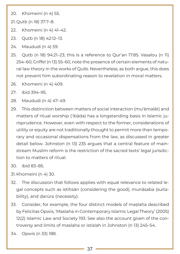20. Khomeini (n 4) 55.

21. Qutb (n 18) 37:7–8.

- 22. Khomeini (n 4) 41–42.
- 23. Qutb (n 18) 42:12–13.
- 24. Maududi (n 4) 59.
- 25. Qutb (n 18) 94:21–23; this is a reference to Qur'an 17:85. Vasalou (n 11) 254–60; Griffel (n 13) 55–60, note the presence of certain elements of natural law theory in the works of Qutb. Nevertheless, as both argue, this does not prevent him subordinating reason to revelation in moral matters.
- 26. Khomeini (n 4) 409.
- 27. ibid 394–95.
- 28. Maududi (n 4) 47–49.
- 29. This distinction between matters of social interaction (mu'āmalāt) and matters of ritual worship ('ibāda) has a longstanding basis in Islamic jurisprudence. However, even with respect to the former, considerations of utility or equity are not traditionally thought to permit more than temporary and occasional dispensations from the law, as discussed in greater detail below. Johnston (n 13) 235 argues that a central feature of mainstream Muslim reform is the restriction of the sacred texts' legal jurisdiction to matters of ritual.
- 30. ibid 83–85.
- 31. Khomeini (n 4) 30.
- 32. The discussion that follows applies with equal relevance to related legal concepts such as istiḥsān (considering the good), munāsaba (suitability), and darūra (necessity).
- 33. Consider, for example, the four distinct models of maslaha described by Felicitas Opwis, 'Maslaha in Contemporary Islamic Legal Theory' (2005) 12(2) Islamic Law and Society 193. See also the account given of the controversy and limits of maslaha or istislah in Johnston (n 13) 245–54.
- 34. Opwis (n 33) 188.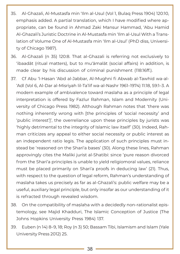- 35. Al-Ghazali, Al-Mustasfa min 'Ilm al-Usul (Vol 1, Bulaq Press 1904) 120:10, emphasis added. A partial translation, which I have modified where appropriate, can be found in Ahmad Zaki Mansur Hammad, 'Abu Hamid Al-Ghazali's Juristic Doctrine in Al-Mustasfa min 'Ilm al-Usul With a Translation of Volume One of Al-Mustasfa min 'Ilm al-Usul' (PhD diss, University of Chicago 1987).
- 36. Al-Ghazali (n 35) 120:8. That al-Ghazali is referring not exclusively to 'ibaadāt (ritual matters), but to mu'āmalāt (social affairs) in addition, is made clear by his discussion of criminal punishment (118:16ff.).
- 37. Cf Abu 'l-Hasan 'Abd al-Jabbar, Al-Mughni fi Abwab al-Tawhid wa-al- 'Adl (Vol 6, Al-Dar al-Misriyah lil-Ta'lif wa-al-Nashr 1961–1974) 11:18, 59:1–3. A modern example of ambivalence toward maslaha as a principle of legal interpretation is offered by Fazlur Rahman, Islam and Modernity (University of Chicago Press 1982). Although Rahman notes that 'there was nothing inherently wrong with [the principles of 'social necessity' and 'public interest']', the overreliance upon these principles by jurists was 'highly detrimental to the integrity of Islamic law itself' (30). Indeed, Rahman criticizes any appeal to either social necessity or public interest as an independent ratio legis. The application of such principles must instead be 'reasoned on the Shari'a bases' (30). Along these lines, Rahman approvingly cites the Maliki jurist al-Shatibi: since 'pure reason divorced from the Shari'a principles is unable to yield religiomoral values, reliance must be placed primarily on Shari'a proofs in deducing law' (21). Thus, with respect to the question of legal reform, Rahman's understanding of maslaha takes us precisely as far as al-Ghazali's: public welfare may be a useful, auxiliary legal principle, but only insofar as our understanding of it is refracted through revealed wisdom.
- 38. On the compatibility of maslaha with a decidedly non-rationalist epistemology, see Majid Khadduri, The Islamic Conception of Justice (The Johns Hopkins University Press 1984) 137.
- 39. Euben (n 14) 8–9, 18; Roy (n 3) 50; Bassam Tibi, Islamism and Islam (Yale University Press 2012) 25.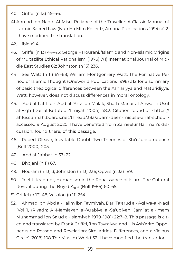- 40. Griffel (n 13) 45–46.
- 41.Ahmad ibn Naqib Al-Misri, Reliance of the Traveller: A Classic Manual of Islamic Sacred Law (Nuh Ha Mim Keller tr, Amana Publications 1994) a1.2. I have modified the translation.
- 42. ibid a1.4.
- 43. Griffel (n 13) 44–45; George F Hourani, 'Islamic and Non-Islamic Origins of Mu'tazilite Ethical Rationalism' (1976) 7(1) International Journal of Middle East Studies 62; Johnston (n 13) 236.
- 44. See Watt (n 11) 67–68; William Montgomery Watt, The Formative Period of Islamic Thought (Oneworld Publications 1998) 312 for a summary of basic theological differences between the Ash'ariyya and Maturidiyya. Watt, however, does not discuss differences in moral ontology.
- 45. 'Abd al-Latif ibn 'Abd al-'Aziz ibn Malak, Sharh Manar al-Anwar fi Usul al-Fiqh (Dar al-Kutub al-'Ilmiyah 2004) 48:2. Citation found at <https:// ahlussunnah.boards.net/thread/383/adam-deen-misuse-anaf-school> accessed 9 August 2020. I have benefited from Zameelur Rahman's discussion, found there, of this passage.
- 46. Robert Gleave, Inevitable Doubt: Two Theories of Shi'i Jurisprudence (Brill 2000) 205.
- 47. 'Abd al-Jabbar (n 37) 22.
- 48. Bhojani (n 11) 67.
- 49. Hourani (n 13) 3; Johnston (n 13) 236; Opwis (n 33) 189.
- 50. Joel L Kraemer, Humanism in the Renaissance of Islam: The Cultural Revival during the Buyid Age (Brill 1986) 60–65.
- 51.Griffel (n 13) 48; Vasalou (n 11) 254.
- 52. Ahmad ibn 'Abd al-Halim ibn Taymiyah, Dar' Ta'arud al-'Aql wa-al-Naql (Vol 1, (Riyadh: Al-Mamlakah al-'Arabiya al-Sa'udiyah, Jami'at al-Imam Muhammad ibn Sa'ud al-Islamiyah 1979–1981) 22:7–8. This passage is cited and translated by Frank Griffel, 'Ibn Taymiyya and His Ash'arite Opponents on Reason and Revelation: Similarities, Differences, and a Vicious Circle' (2018) 108 The Muslim World 32. I have modified the translation.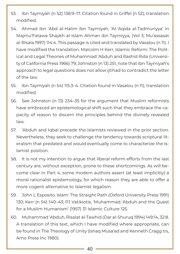- 53. Ibn Taymiyah (n 52) 138:9–17. Citation found in Griffel (n 52); translation modified.
- 54. Ahmad ibn 'Abd al-Halim ibn Taymiyah, 'Al-'Aqida al-Tadmuriyya' in Majmu'Fatawa Shaykh al-Islam Ahman ibn Taymiyya, (Vol 3, Mu'assasat al-Risala 1997) 114:4. This passage is cited and translated by Vasalou (n 11). I have modified the translation. Malcolm H Kerr, Islamic Reform: The Political and Legal Theories of Muhammad 'Abduh and Rashid Rida (University of California Press 1966) 79; Johnston (n 13) 251, note that Ibn Taymiyah's approach to legal questions does not allow ijtihad to contradict the letter of the law.
- 55. Ibn Taymiyah (n 54) 115:3–4. Citation found in Vasalou (n 11); translation modified.
- 56. See Johnston (n 13) 234–35 for the argument that Muslim reformists have embraced an epistemological shift such that they embrace the capacity of reason to discern the principles behind the divinely revealed law.
- 57. 'Abduh and Iqbal precede the Islamists reviewed in the prior section. Nevertheless, they seek to challenge the tendency towards scriptural literalism that predated and would eventually come to characterize the Islamist position.
- 58. It is not my intention to argue that liberal reform efforts from the last century are, without exception, prone to these shortcomings. As will become clear in Part 4, some modern authors assert (at least implicitly) a moral rationalist epistemology, for which reason they are able to offer a more cogent alternative to Islamist legalism.
- 59. John L Esposito, Islam: The Straight Path (Oxford University Press 1991) 130; Kerr (n 54) 140–43; PJ Vatikiotis, 'Muhammad 'Abduh and the Quest for a Muslim Humanism' (1957) 31 Islamic Culture 125.
- 60. Muhammad 'Abduh, Risalat al-Tawhid (Dar al-Shuruq 1994) 149:14, 32:8. A translation of this text, which I have modified where appropriate, can be found in The Theology of Unity (Ishaq Musa'ad and Kenneth Cragg trs, Arno Press Inc 1980).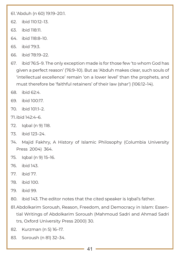61.'Abduh (n 60) 19:19–20:1.

- 62. ibid 110:12–13.
- 63. ibid 118:11.
- 64. ibid 118:8–10.
- 65. ibid 79:3.
- 66. ibid 78:19–22.
- 67. ibid 76:5–9. The only exception made is for those few 'to whom God has given a perfect reason' (76:9–10). But as 'Abduh makes clear, such souls of 'intellectual excellence' remain 'on a lower level' than the prophets, and must therefore be 'faithful retainers' of their law (shar') (106:12–14).
- 68. ibid 62:4.
- 69. ibid 100:17.
- 70. ibid 101:1–2.
- 71.ibid 142:4–6.
- 72. Iqbal (n 9) 118.
- 73. ibid 123–24.
- 74. Majid Fakhry, A History of Islamic Philosophy (Columbia University Press 2004) 364.
- 75. Iqbal (n 9) 15–16.
- 76. ibid 143.
- 77. ibid 77.
- 78. ibid 100.
- 79. ibid 99.
- 80. ibid 143. The editor notes that the cited speaker is Iqbal's father.
- 81.Abdolkarim Soroush, Reason, Freedom, and Democracy in Islam: Essential Writings of Abdolkarim Soroush (Mahmoud Sadri and Ahmad Sadri trs, Oxford University Press 2000) 30.
- 82. Kurzman (n 5) 16–17.
- 83. Soroush (n 81) 32–34.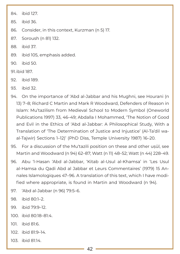84. ibid 127.

85. ibid 36.

86. Consider, in this context, Kurzman (n 5) 17.

87. Soroush (n 81) 132.

88. ibid 37.

89. ibid 105, emphasis added.

90. ibid 50.

91.ibid 187.

92. ibid 189.

93. ibid 32.

- 94. On the importance of 'Abd al-Jabbar and his Mughni, see Hourani (n 13) 7–8; Richard C Martin and Mark R Woodward, Defenders of Reason in Islam: Mu'tazilism from Medieval School to Modern Symbol (Oneworld Publications 1997) 33, 46–49; Abdalla I Mohammed, 'The Notion of Good and Evil in the Ethics of 'Abd al-Jabbar: A Philosophical Study, With a Translation of 'The Determination of Justice and Injustice' (Al-Ta'dil waal-Tajwir) Sections 1–12)' (PhD Diss, Temple University 1987) 16–20.
- 95. For a discussion of the Mu'tazili position on these and other uṣūl, see Martin and Woodward (n 94) 62–87; Watt (n 11) 48–52; Watt (n 44) 228–49.
- 96. Abu 'l-Hasan 'Abd al-Jabbar, 'Kitab al-Usul al-Khamsa' in 'Les Usul al-Hamsa du Qadi Abd al Jabbar et Leurs Commentaires' (1979) 15 Annales Islamologiques 47–96. A translation of this text, which I have modified where appropriate, is found in Martin and Woodward (n 94).
- 97. 'Abd al-Jabbar (n 96) 79:5–6.
- 98. ibid 80:1–2.
- 99. ibid 79:9–12.
- 100. ibid 80:18–81:4.
- 101. ibid 81:6.
- 102. ibid 81:9–14.
- 103. ibid 81:14.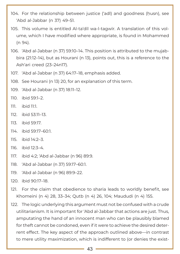- 104. For the relationship between justice ('adl) and goodness (husn), see 'Abd al-Jabbar (n 37) 49–51.
- 105. This volume is entitled Al-ta'dīl wa-l-tagwīr. A translation of this volume, which I have modified where appropriate, is found in Mohammed (n 94).
- 106. 'Abd al-Jabbar (n 37) 59:10–14. This position is attributed to the mujabbira (21:12–14), but as Hourani (n 13), points out, this is a reference to the Ash'ari creed (23–24n17).
- 107. 'Abd al-Jabbar (n 37) 64:17–18, emphasis added.
- 108. See Hourani (n 13) 20, for an explanation of this term.
- 109. 'Abd al-Jabbar (n 37) 18:11–12.
- 110. ibid 59:1–2.
- 111. ibid 11:1.
- 112. ibid 53:11–13.
- 113. ibid 59:17.
- 114. ibid 59:17–60:1.
- 115. ibid 14:2–3.
- 116. ibid 12:3–4.
- 117. ibid 4:2; 'Abd al-Jabbar (n 96) 89:9.
- 118. 'Abd al-Jabbar (n 37) 59:17–60:1.
- 119. 'Abd al-Jabbar (n 96) 89:9–22.
- 120. ibid 90:17–18.
- 121. For the claim that obedience to sharia leads to worldly benefit, see Khomeini (n 4) 28, 33–34; Qutb (n 4) 26, 104; Maududi (n 4) 155.
- 122. The logic underlying this argument must not be confused with a crude utilitarianism. It is important for 'Abd al-Jabbar that actions are just. Thus, amputating the hand of an innocent man who can be plausibly blamed for theft cannot be condoned, even if it were to achieve the desired deterrent effect. The key aspect of the approach outlined above—in contrast to mere utility maximization, which is indifferent to (or denies the exist-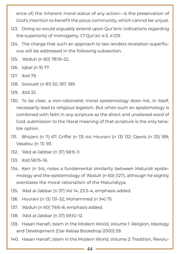ence of) the inherent moral status of any action—is the preservation of God's intention to benefit the pious community, which cannot be unjust.

- 123. Doing so would arguably extend upon Qur'anic indications regarding the superiority of monogamy. Cf Qur'an 4:3, 4:129.
- 124. The charge that such an approach to law renders revelation superfluous will be addressed in the following subsection.
- 125. 'Abduh (n 60) 78:19–22.
- 126. Iqbal (n 9) 77.
- 127. ibid 79.
- 128. Soroush (n 81) 50, 187, 189.
- 129. ibid 32.
- 130. To be clear, a non-rationalist moral epistemology does not, in itself, necessarily lead to religious legalism. But when such an epistemology is combined with faith in any scripture as the direct and unaltered word of God, submission to the literal meaning of that scripture is the only tenable option.
- 131. Bhojani (n 11) 67; Griffel (n 13) 44; Hourani (n 13) 132; Opwis (n 33) 189; Vasalou (n 11) 93.
- 132. 'Abd al-Jabbar (n 37) 58:9–11.
- 133. ibid 58:15–16.
- 134. Kerr (n 54), notes a fundamental similarity between Maturidi epistemology and the epistemology of 'Abduh (n 60) (127), although he slightly overstates the moral rationalism of the Maturidiyya.
- 135. 'Abd al-Jabbar (n 37) Vol 14, 23:3–4, emphasis added.
- 136. Hourani (n 13) 131–32; Mohammed (n 94) 75.
- 137. 'Abduh (n 60) 79:6–8, emphasis added.
- 138. 'Abd al-Jabbar (n 37) 59:10–12.
- 139. Hasan Hanafi, Islam in the Modern World, Volume 1: Religion, Ideology and Development (Dar Kebaa Bookshop 2000) 59.
- 140. Hasan Hanafi, Islam in the Modern World, Volume 2: Tradition, Revolu-